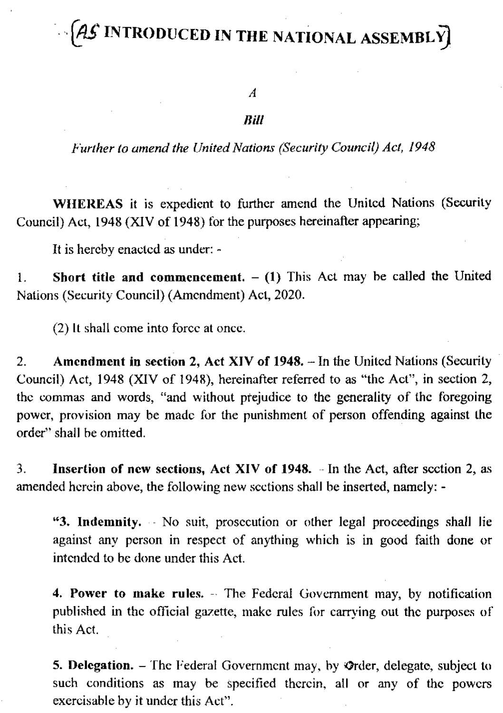## $\sim$  (AS INTRODUCED IN THE NATIONAL ASSEMBLY)

 $\boldsymbol{A}$ 

## Bill

Further to amend the United Nations (Security Council) Act, 1948

WHEREAS it is expedient to further amend the United Nations (Security Council) Act, 1948 (XIV of 1948) for the purposes hereinafter appearing;

It is hereby enacted as under: -

Short title and commencement.  $- (1)$  This Act may be called the United  $\mathbf{1}$ . Nations (Security Council) (Amendment) Act, 2020.

(2) It shall come into force at once.

Amendment in section 2, Act XIV of 1948. - In the United Nations (Security  $2.$ Council) Act, 1948 (XIV of 1948), hereinafter referred to as "the Act", in section 2, the commas and words, "and without prejudice to the generality of the foregoing power, provision may be made for the punishment of person offending against the order" shall be omitted.

Insertion of new sections, Act XIV of 1948. - In the Act, after section 2, as  $3<sub>1</sub>$ amended herein above, the following new sections shall be inserted, namely: -

"3. Indemnity. No suit, prosecution or other legal proceedings shall lie against any person in respect of anything which is in good faith done or intended to be done under this Act.

4. Power to make rules. - The Federal Government may, by notification published in the official gazette, make rules for carrying out the purposes of this Act.

5. Delegation. - The Federal Government may, by Ørder, delegate, subject to such conditions as may be specified therein, all or any of the powers exercisable by it under this Act".